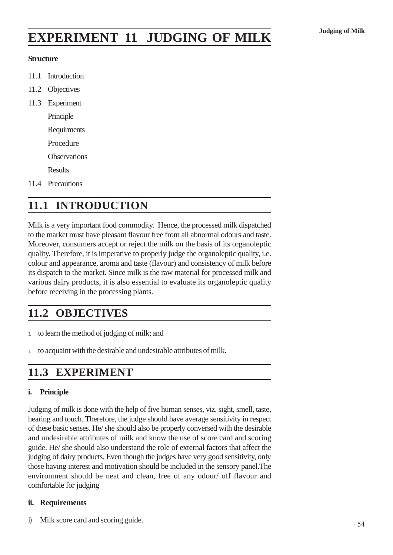# **EXPERIMENT 11 JUDGING OF MILK** Judging of Milk

#### **Structure**

- 11.1 Introduction
- 11.2 Objectives
- 11.3 Experiment

Principle Requirments Procedure

**Observations** 

**Results** 

11.4 Precautions

## **11.1 INTRODUCTION**

Milk is a very important food commodity. Hence, the processed milk dispatched to the market must have pleasant flavour free from all abnormal odours and taste. Moreover, consumers accept or reject the milk on the basis of its organoleptic quality. Therefore, it is imperative to properly judge the organoleptic quality, i.e. colour and appearance, aroma and taste (flavour) and consistency of milk before its dispatch to the market. Since milk is the raw material for processed milk and various dairy products, it is also essential to evaluate its organoleptic quality before receiving in the processing plants.

## **11.2 OBJECTIVES**

- <sup>l</sup> to learn the method of judging of milk; and
- <sup>l</sup> to acquaint with the desirable and undesirable attributes of milk.

### **11.3 EXPERIMENT**

#### **i. Principle**

Judging of milk is done with the help of five human senses, viz. sight, smell, taste, hearing and touch. Therefore, the judge should have average sensitivity in respect of these basic senses. He/ she should also be properly conversed with the desirable and undesirable attributes of milk and know the use of score card and scoring guide. He/ she should also understand the role of external factors that affect the judging of dairy products. Even though the judges have very good sensitivity, only those having interest and motivation should be included in the sensory panel.The environment should be neat and clean, free of any odour/ off flavour and comfortable for judging

#### **ii. Requirements**

i) Milk score card and scoring guide.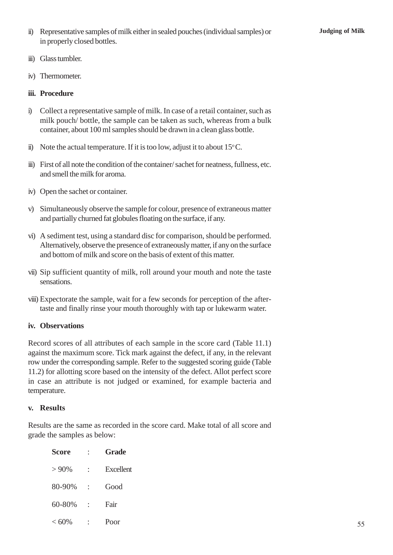- ii) Representative samples of milk either in sealed pouches (individual samples) or **Judging of Milk** in properly closed bottles.
- iii) Glass tumbler.
- iv) Thermometer.

#### **iii. Procedure**

- i) Collect a representative sample of milk. In case of a retail container, such as milk pouch/ bottle, the sample can be taken as such, whereas from a bulk container, about 100 ml samples should be drawn in a clean glass bottle.
- ii) Note the actual temperature. If it is too low, adjust it to about  $15^{\circ}$ C.
- iii) First of all note the condition of the container/ sachet for neatness, fullness, etc. and smell the milk for aroma.
- iv) Open the sachet or container.
- v) Simultaneously observe the sample for colour, presence of extraneous matter and partially churned fat globules floating on the surface, if any.
- vi) A sediment test, using a standard disc for comparison, should be performed. Alternatively, observe the presence of extraneously matter, if any on the surface and bottom of milk and score on the basis of extent of this matter.
- vii) Sip sufficient quantity of milk, roll around your mouth and note the taste sensations.
- viii) Expectorate the sample, wait for a few seconds for perception of the aftertaste and finally rinse your mouth thoroughly with tap or lukewarm water.

#### **iv. Observations**

Record scores of all attributes of each sample in the score card (Table 11.1) against the maximum score. Tick mark against the defect, if any, in the relevant row under the corresponding sample. Refer to the suggested scoring guide (Table 11.2) for allotting score based on the intensity of the defect. Allot perfect score in case an attribute is not judged or examined, for example bacteria and temperature.

#### **v. Results**

Results are the same as recorded in the score card. Make total of all score and grade the samples as below:

| <b>Score</b> | <b>Grade</b>     |  |  |
|--------------|------------------|--|--|
| $> 90\%$     | <b>Excellent</b> |  |  |
| 80-90%       | Good             |  |  |
| 60-80%       | Fair             |  |  |
| $< 60\%$     | Poor             |  |  |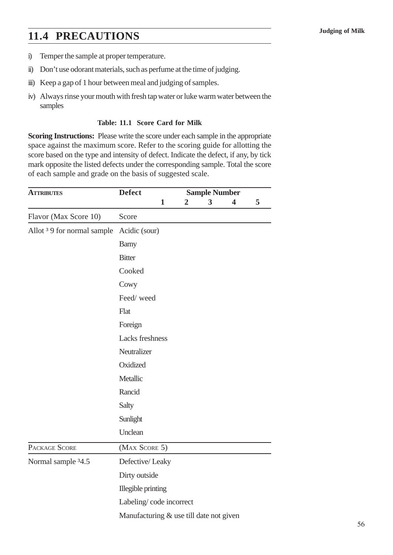# **11.4 PRECAUTIONS** Judging of Milk

- i) Temper the sample at proper temperature.
- ii) Don't use odorant materials, such as perfume at the time of judging.
- iii) Keep a gap of 1 hour between meal and judging of samples.
- iv) Always rinse your mouth with fresh tap water or luke warm water between the samples

#### **Table: 11.1 Score Card for Milk**

**Scoring Instructions:** Please write the score under each sample in the appropriate space against the maximum score. Refer to the scoring guide for allotting the score based on the type and intensity of defect. Indicate the defect, if any, by tick mark opposite the listed defects under the corresponding sample. Total the score of each sample and grade on the basis of suggested scale.

| <b>ATTRIBUTES</b>                      | <b>Defect</b>                           | <b>Sample Number</b> |                  |   |                         |   |
|----------------------------------------|-----------------------------------------|----------------------|------------------|---|-------------------------|---|
|                                        |                                         | $\mathbf{1}$         | $\boldsymbol{2}$ | 3 | $\overline{\mathbf{4}}$ | 5 |
| Flavor (Max Score 10)                  | Score                                   |                      |                  |   |                         |   |
| Allot <sup>3</sup> 9 for normal sample | Acidic (sour)                           |                      |                  |   |                         |   |
|                                        | <b>Barny</b>                            |                      |                  |   |                         |   |
|                                        | <b>Bitter</b>                           |                      |                  |   |                         |   |
|                                        | Cooked                                  |                      |                  |   |                         |   |
|                                        | Cowy                                    |                      |                  |   |                         |   |
|                                        | Feed/weed                               |                      |                  |   |                         |   |
|                                        | Flat                                    |                      |                  |   |                         |   |
|                                        | Foreign                                 |                      |                  |   |                         |   |
|                                        | <b>Lacks</b> freshness                  |                      |                  |   |                         |   |
|                                        | Neutralizer                             |                      |                  |   |                         |   |
|                                        | Oxidized                                |                      |                  |   |                         |   |
|                                        | Metallic                                |                      |                  |   |                         |   |
|                                        | Rancid                                  |                      |                  |   |                         |   |
|                                        | Salty                                   |                      |                  |   |                         |   |
|                                        | Sunlight                                |                      |                  |   |                         |   |
|                                        | Unclean                                 |                      |                  |   |                         |   |
| PACKAGE SCORE                          | (MAX SCORE 5)                           |                      |                  |   |                         |   |
| Normal sample 34.5                     | Defective/Leaky                         |                      |                  |   |                         |   |
|                                        | Dirty outside                           |                      |                  |   |                         |   |
|                                        | Illegible printing                      |                      |                  |   |                         |   |
|                                        | Labeling/code incorrect                 |                      |                  |   |                         |   |
|                                        | Manufacturing & use till date not given |                      |                  |   |                         |   |
|                                        |                                         |                      |                  |   |                         |   |